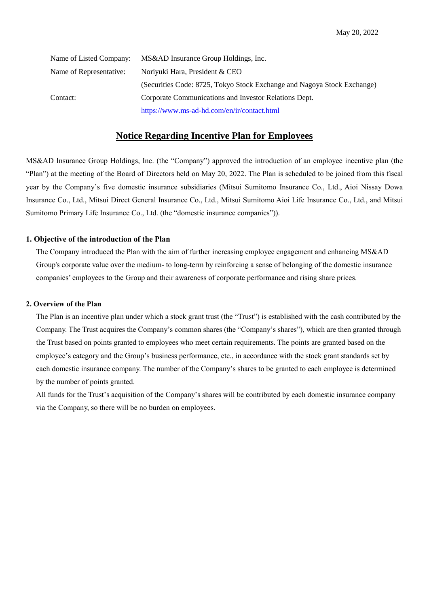| Name of Listed Company: | MS&AD Insurance Group Holdings, Inc.                                    |
|-------------------------|-------------------------------------------------------------------------|
| Name of Representative: | Noriyuki Hara, President & CEO                                          |
|                         | (Securities Code: 8725, Tokyo Stock Exchange and Nagoya Stock Exchange) |
| Contact:                | Corporate Communications and Investor Relations Dept.                   |
|                         | https://www.ms-ad-hd.com/en/ir/contact.html                             |

## **Notice Regarding Incentive Plan for Employees**

MS&AD Insurance Group Holdings, Inc. (the "Company") approved the introduction of an employee incentive plan (the "Plan") at the meeting of the Board of Directors held on May 20, 2022. The Plan is scheduled to be joined from this fiscal year by the Company's five domestic insurance subsidiaries (Mitsui Sumitomo Insurance Co., Ltd., Aioi Nissay Dowa Insurance Co., Ltd., Mitsui Direct General Insurance Co., Ltd., Mitsui Sumitomo Aioi Life Insurance Co., Ltd., and Mitsui Sumitomo Primary Life Insurance Co., Ltd. (the "domestic insurance companies")).

#### **1. Objective of the introduction of the Plan**

The Company introduced the Plan with the aim of further increasing employee engagement and enhancing MS&AD Group's corporate value over the medium- to long-term by reinforcing a sense of belonging of the domestic insurance companies' employees to the Group and their awareness of corporate performance and rising share prices.

### **2. Overview of the Plan**

The Plan is an incentive plan under which a stock grant trust (the "Trust") is established with the cash contributed by the Company. The Trust acquires the Company's common shares (the "Company's shares"), which are then granted through the Trust based on points granted to employees who meet certain requirements. The points are granted based on the employee's category and the Group's business performance, etc., in accordance with the stock grant standards set by each domestic insurance company. The number of the Company's shares to be granted to each employee is determined by the number of points granted.

All funds for the Trust's acquisition of the Company's shares will be contributed by each domestic insurance company via the Company, so there will be no burden on employees.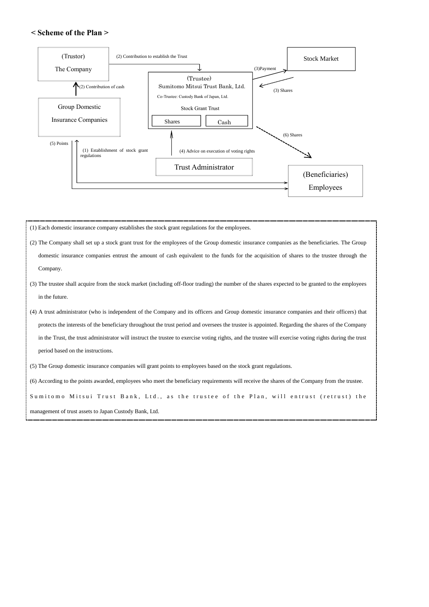#### **< Scheme of the Plan >**



(1) Each domestic insurance company establishes the stock grant regulations for the employees.

(2) The Company shall set up a stock grant trust for the employees of the Group domestic insurance companies as the beneficiaries. The Group domestic insurance companies entrust the amount of cash equivalent to the funds for the acquisition of shares to the trustee through the Company.

(3) The trustee shall acquire from the stock market (including off-floor trading) the number of the shares expected to be granted to the employees in the future.

(4) A trust administrator (who is independent of the Company and its officers and Group domestic insurance companies and their officers) that protects the interests of the beneficiary throughout the trust period and oversees the trustee is appointed. Regarding the shares of the Company in the Trust, the trust administrator will instruct the trustee to exercise voting rights, and the trustee will exercise voting rights during the trust period based on the instructions.

(5) The Group domestic insurance companies will grant points to employees based on the stock grant regulations.

(6) According to the points awarded, employees who meet the beneficiary requirements will receive the shares of the Company from the trustee.

Sumitomo Mitsui Trust Bank, Ltd., as the trustee of the Plan, will entrust (retrust) the

management of trust assets to Japan Custody Bank, Ltd.